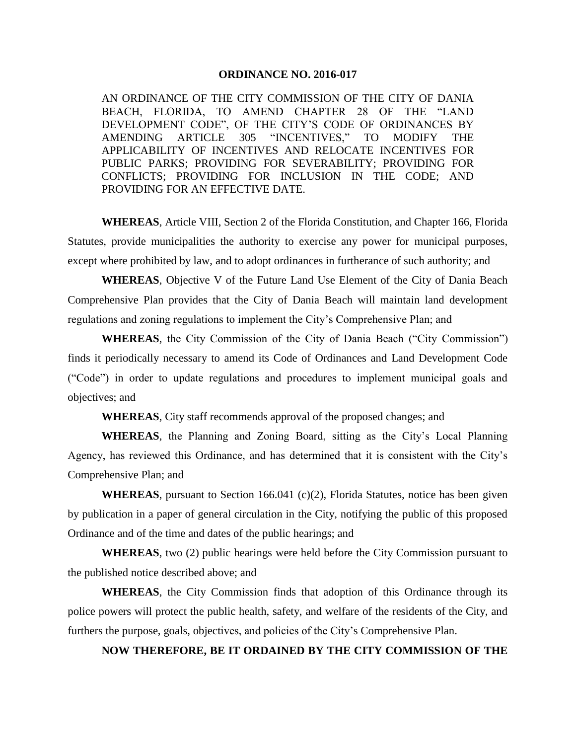## **ORDINANCE NO. 2016-017**

AN ORDINANCE OF THE CITY COMMISSION OF THE CITY OF DANIA BEACH, FLORIDA, TO AMEND CHAPTER 28 OF THE "LAND DEVELOPMENT CODE", OF THE CITY'S CODE OF ORDINANCES BY AMENDING ARTICLE 305 "INCENTIVES," TO MODIFY THE APPLICABILITY OF INCENTIVES AND RELOCATE INCENTIVES FOR PUBLIC PARKS; PROVIDING FOR SEVERABILITY; PROVIDING FOR CONFLICTS; PROVIDING FOR INCLUSION IN THE CODE; AND PROVIDING FOR AN EFFECTIVE DATE.

**WHEREAS**, Article VIII, Section 2 of the Florida Constitution, and Chapter 166, Florida Statutes, provide municipalities the authority to exercise any power for municipal purposes, except where prohibited by law, and to adopt ordinances in furtherance of such authority; and

**WHEREAS**, Objective V of the Future Land Use Element of the City of Dania Beach Comprehensive Plan provides that the City of Dania Beach will maintain land development regulations and zoning regulations to implement the City's Comprehensive Plan; and

**WHEREAS**, the City Commission of the City of Dania Beach ("City Commission") finds it periodically necessary to amend its Code of Ordinances and Land Development Code ("Code") in order to update regulations and procedures to implement municipal goals and objectives; and

**WHEREAS**, City staff recommends approval of the proposed changes; and

**WHEREAS**, the Planning and Zoning Board, sitting as the City's Local Planning Agency, has reviewed this Ordinance, and has determined that it is consistent with the City's Comprehensive Plan; and

**WHEREAS**, pursuant to Section 166.041 (c)(2), Florida Statutes, notice has been given by publication in a paper of general circulation in the City, notifying the public of this proposed Ordinance and of the time and dates of the public hearings; and

**WHEREAS**, two (2) public hearings were held before the City Commission pursuant to the published notice described above; and

**WHEREAS**, the City Commission finds that adoption of this Ordinance through its police powers will protect the public health, safety, and welfare of the residents of the City, and furthers the purpose, goals, objectives, and policies of the City's Comprehensive Plan.

## **NOW THEREFORE, BE IT ORDAINED BY THE CITY COMMISSION OF THE**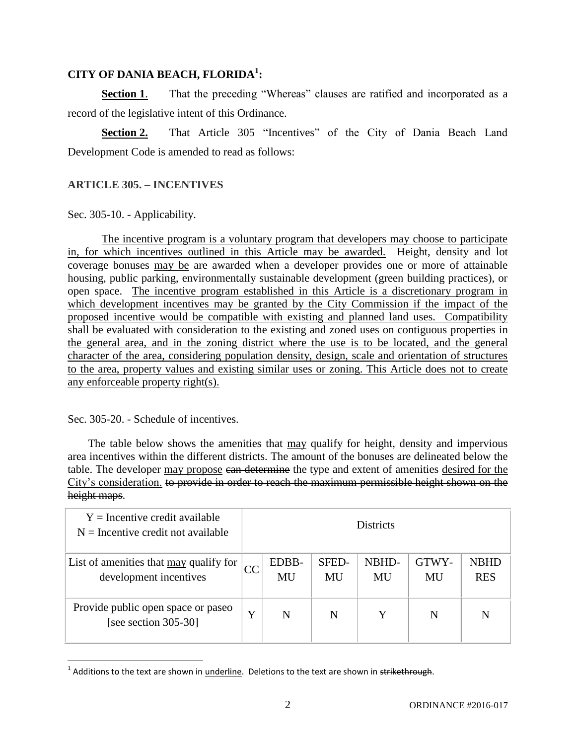## **CITY OF DANIA BEACH, FLORIDA<sup>1</sup> :**

**Section 1.** That the preceding "Whereas" clauses are ratified and incorporated as a record of the legislative intent of this Ordinance.

**Section 2.** That Article 305 "Incentives" of the City of Dania Beach Land Development Code is amended to read as follows:

## **ARTICLE 305. – INCENTIVES**

Sec. 305-10. - Applicability.

The incentive program is a voluntary program that developers may choose to participate in, for which incentives outlined in this Article may be awarded. Height, density and lot coverage bonuses may be are awarded when a developer provides one or more of attainable housing, public parking, environmentally sustainable development (green building practices), or open space. The incentive program established in this Article is a discretionary program in which development incentives may be granted by the City Commission if the impact of the proposed incentive would be compatible with existing and planned land uses. Compatibility shall be evaluated with consideration to the existing and zoned uses on contiguous properties in the general area, and in the zoning district where the use is to be located, and the general character of the area, considering population density, design, scale and orientation of structures to the area, property values and existing similar uses or zoning. This Article does not to create any enforceable property right(s).

Sec. 305-20. - Schedule of incentives.

 $\overline{\phantom{a}}$ 

The table below shows the amenities that may qualify for height, density and impervious area incentives within the different districts. The amount of the bonuses are delineated below the table. The developer may propose can determine the type and extent of amenities desired for the City's consideration. to provide in order to reach the maximum permissible height shown on the height maps.

| $Y =$ Incentive credit available<br>$N =$ Incentive credit not available | <b>Districts</b> |             |                    |             |             |                           |  |  |
|--------------------------------------------------------------------------|------------------|-------------|--------------------|-------------|-------------|---------------------------|--|--|
| List of amenities that may qualify for<br>development incentives         |                  | EDBB-<br>MU | <b>SFED-</b><br>MU | NBHD-<br>MU | GTWY-<br>MU | <b>NBHD</b><br><b>RES</b> |  |  |
| Provide public open space or paseo<br>[see section 305-30]               | Y                | N           | N                  |             | N           | N                         |  |  |

<sup>&</sup>lt;sup>1</sup> Additions to the text are shown in <u>underline</u>. Deletions to the text are shown in <del>strikethrough</del>.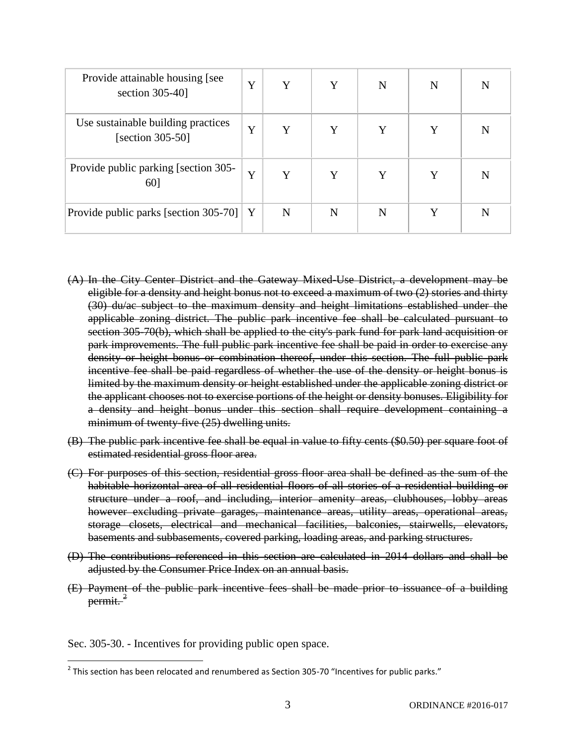| Provide attainable housing [see<br>section $305-40$ ]     | Y | Y | Y | N | N | N |
|-----------------------------------------------------------|---|---|---|---|---|---|
| Use sustainable building practices<br>[section $305-50$ ] | Y | Y | Y | Y | Y | N |
| Provide public parking [section 305-<br>60]               | Y | Y | Y | Y | Y | N |
| Provide public parks [section 305-70]                     | Y | N | N | N |   | N |

- (A) In the City Center District and the Gateway Mixed-Use District, a development may be eligible for a density and height bonus not to exceed a maximum of two (2) stories and thirty (30) du/ac subject to the maximum density and height limitations established under the applicable zoning district. The public park incentive fee shall be calculated pursuant to section 305-70(b), which shall be applied to the city's park fund for park land acquisition or park improvements. The full public park incentive fee shall be paid in order to exercise any density or height bonus or combination thereof, under this section. The full public park incentive fee shall be paid regardless of whether the use of the density or height bonus is limited by the maximum density or height established under the applicable zoning district or the applicant chooses not to exercise portions of the height or density bonuses. Eligibility for a density and height bonus under this section shall require development containing a minimum of twenty-five (25) dwelling units.
- (B) The public park incentive fee shall be equal in value to fifty cents (\$0.50) per square foot of estimated residential gross floor area.
- (C) For purposes of this section, residential gross floor area shall be defined as the sum of the habitable horizontal area of all residential floors of all stories of a residential building or structure under a roof, and including, interior amenity areas, clubhouses, lobby areas however excluding private garages, maintenance areas, utility areas, operational areas, storage closets, electrical and mechanical facilities, balconies, stairwells, elevators, basements and subbasements, covered parking, loading areas, and parking structures.
- (D) The contributions referenced in this section are calculated in 2014 dollars and shall be adjusted by the Consumer Price Index on an annual basis.
- (E) Payment of the public park incentive fees shall be made prior to issuance of a building permit.<sup>2</sup>

Sec. 305-30. - Incentives for providing public open space.

 $\overline{\phantom{a}}$ 

 $^2$  This section has been relocated and renumbered as Section 305-70 "Incentives for public parks."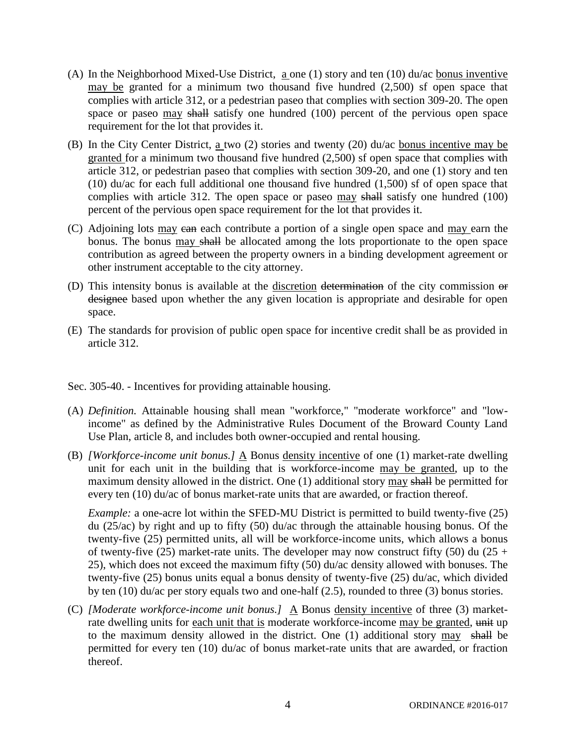- (A) In the Neighborhood Mixed-Use District, a one (1) story and ten (10) du/ac bonus inventive may be granted for a minimum two thousand five hundred (2,500) sf open space that complies with article 312, or a pedestrian paseo that complies with section 309-20. The open space or paseo may shall satisfy one hundred (100) percent of the pervious open space requirement for the lot that provides it.
- (B) In the City Center District, a two (2) stories and twenty (20) du/ac bonus incentive may be granted for a minimum two thousand five hundred (2,500) sf open space that complies with article 312, or pedestrian paseo that complies with section 309-20, and one (1) story and ten (10) du/ac for each full additional one thousand five hundred (1,500) sf of open space that complies with article 312. The open space or paseo may shall satisfy one hundred (100) percent of the pervious open space requirement for the lot that provides it.
- (C) Adjoining lots may can each contribute a portion of a single open space and may earn the bonus. The bonus may shall be allocated among the lots proportionate to the open space contribution as agreed between the property owners in a binding development agreement or other instrument acceptable to the city attorney.
- (D) This intensity bonus is available at the discretion determination of the city commission or designee based upon whether the any given location is appropriate and desirable for open space.
- (E) The standards for provision of public open space for incentive credit shall be as provided in article 312.
- Sec. 305-40. Incentives for providing attainable housing.
- (A) *Definition.* Attainable housing shall mean "workforce," "moderate workforce" and "lowincome" as defined by the Administrative Rules Document of the Broward County Land Use Plan, article 8, and includes both owner-occupied and rental housing.
- (B) *[Workforce-income unit bonus.]* A Bonus density incentive of one (1) market-rate dwelling unit for each unit in the building that is workforce-income may be granted, up to the maximum density allowed in the district. One (1) additional story may shall be permitted for every ten (10) du/ac of bonus market-rate units that are awarded, or fraction thereof.

*Example:* a one-acre lot within the SFED-MU District is permitted to build twenty-five (25) du (25/ac) by right and up to fifty (50) du/ac through the attainable housing bonus. Of the twenty-five (25) permitted units, all will be workforce-income units, which allows a bonus of twenty-five (25) market-rate units. The developer may now construct fifty (50) du (25 + 25), which does not exceed the maximum fifty (50) du/ac density allowed with bonuses. The twenty-five (25) bonus units equal a bonus density of twenty-five (25) du/ac, which divided by ten (10) du/ac per story equals two and one-half (2.5), rounded to three (3) bonus stories.

(C) *[Moderate workforce-income unit bonus.]*  $\underline{A}$  Bonus <u>density incentive</u> of three (3) marketrate dwelling units for each unit that is moderate workforce-income may be granted, unit up to the maximum density allowed in the district. One (1) additional story may shall be permitted for every ten (10) du/ac of bonus market-rate units that are awarded, or fraction thereof.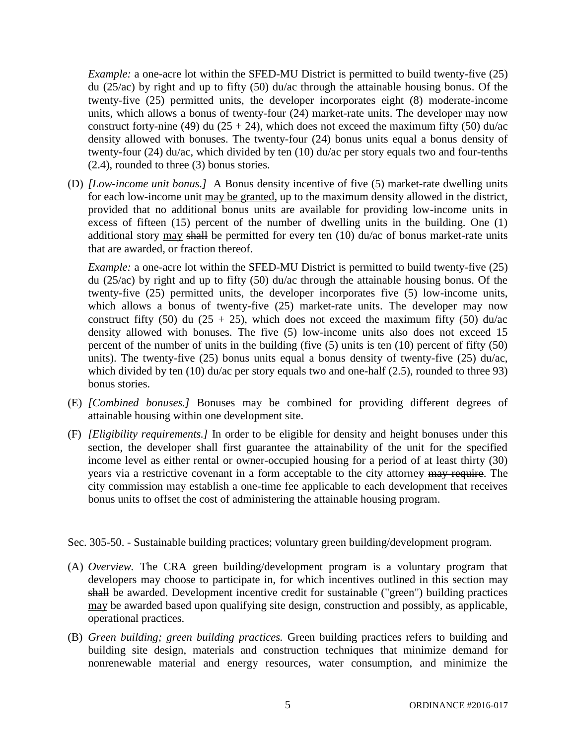*Example:* a one-acre lot within the SFED-MU District is permitted to build twenty-five (25) du (25/ac) by right and up to fifty (50) du/ac through the attainable housing bonus. Of the twenty-five (25) permitted units, the developer incorporates eight (8) moderate-income units, which allows a bonus of twenty-four (24) market-rate units. The developer may now construct forty-nine (49) du (25 + 24), which does not exceed the maximum fifty (50) du/ac density allowed with bonuses. The twenty-four (24) bonus units equal a bonus density of twenty-four (24) du/ac, which divided by ten (10) du/ac per story equals two and four-tenths (2.4), rounded to three (3) bonus stories.

(D) *[Low-income unit bonus.]* A Bonus density incentive of five (5) market-rate dwelling units for each low-income unit may be granted, up to the maximum density allowed in the district, provided that no additional bonus units are available for providing low-income units in excess of fifteen (15) percent of the number of dwelling units in the building. One (1) additional story may shall be permitted for every ten (10) du/ac of bonus market-rate units that are awarded, or fraction thereof.

*Example:* a one-acre lot within the SFED-MU District is permitted to build twenty-five (25) du ( $25/a$ c) by right and up to fifty (50) du/ac through the attainable housing bonus. Of the twenty-five (25) permitted units, the developer incorporates five (5) low-income units, which allows a bonus of twenty-five (25) market-rate units. The developer may now construct fifty (50) du (25 + 25), which does not exceed the maximum fifty (50) du/ac density allowed with bonuses. The five (5) low-income units also does not exceed 15 percent of the number of units in the building (five (5) units is ten (10) percent of fifty (50) units). The twenty-five (25) bonus units equal a bonus density of twenty-five (25)  $du/ac$ , which divided by ten  $(10)$  du/ac per story equals two and one-half  $(2.5)$ , rounded to three 93) bonus stories.

- (E) *[Combined bonuses.]* Bonuses may be combined for providing different degrees of attainable housing within one development site.
- (F) *[Eligibility requirements.]* In order to be eligible for density and height bonuses under this section, the developer shall first guarantee the attainability of the unit for the specified income level as either rental or owner-occupied housing for a period of at least thirty (30) years via a restrictive covenant in a form acceptable to the city attorney may require. The city commission may establish a one-time fee applicable to each development that receives bonus units to offset the cost of administering the attainable housing program.

Sec. 305-50. - Sustainable building practices; voluntary green building/development program.

- (A) *Overview.* The CRA green building/development program is a voluntary program that developers may choose to participate in, for which incentives outlined in this section may shall be awarded. Development incentive credit for sustainable ("green") building practices may be awarded based upon qualifying site design, construction and possibly, as applicable, operational practices.
- (B) *Green building; green building practices.* Green building practices refers to building and building site design, materials and construction techniques that minimize demand for nonrenewable material and energy resources, water consumption, and minimize the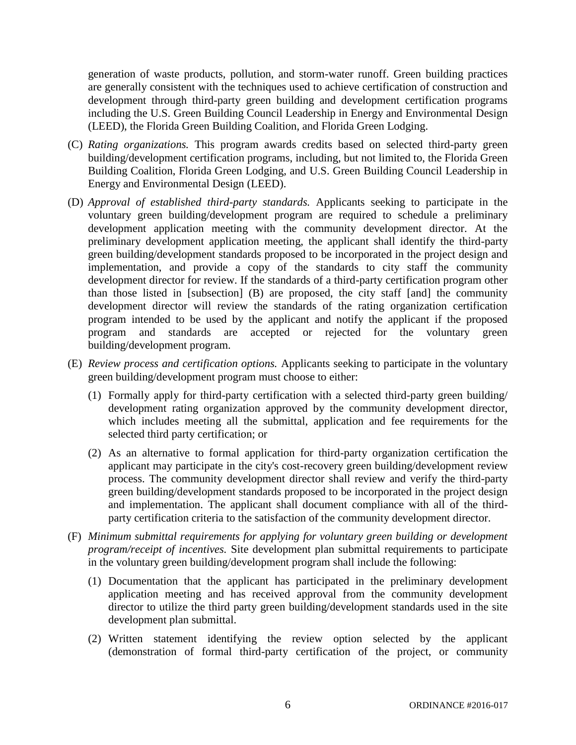generation of waste products, pollution, and storm-water runoff. Green building practices are generally consistent with the techniques used to achieve certification of construction and development through third-party green building and development certification programs including the U.S. Green Building Council Leadership in Energy and Environmental Design (LEED), the Florida Green Building Coalition, and Florida Green Lodging.

- (C) *Rating organizations.* This program awards credits based on selected third-party green building/development certification programs, including, but not limited to, the Florida Green Building Coalition, Florida Green Lodging, and U.S. Green Building Council Leadership in Energy and Environmental Design (LEED).
- (D) *Approval of established third-party standards.* Applicants seeking to participate in the voluntary green building/development program are required to schedule a preliminary development application meeting with the community development director. At the preliminary development application meeting, the applicant shall identify the third-party green building/development standards proposed to be incorporated in the project design and implementation, and provide a copy of the standards to city staff the community development director for review. If the standards of a third-party certification program other than those listed in [subsection] (B) are proposed, the city staff [and] the community development director will review the standards of the rating organization certification program intended to be used by the applicant and notify the applicant if the proposed program and standards are accepted or rejected for the voluntary green building/development program.
- (E) *Review process and certification options.* Applicants seeking to participate in the voluntary green building/development program must choose to either:
	- (1) Formally apply for third-party certification with a selected third-party green building/ development rating organization approved by the community development director, which includes meeting all the submittal, application and fee requirements for the selected third party certification; or
	- (2) As an alternative to formal application for third-party organization certification the applicant may participate in the city's cost-recovery green building/development review process. The community development director shall review and verify the third-party green building/development standards proposed to be incorporated in the project design and implementation. The applicant shall document compliance with all of the thirdparty certification criteria to the satisfaction of the community development director.
- (F) *Minimum submittal requirements for applying for voluntary green building or development program/receipt of incentives.* Site development plan submittal requirements to participate in the voluntary green building/development program shall include the following:
	- (1) Documentation that the applicant has participated in the preliminary development application meeting and has received approval from the community development director to utilize the third party green building/development standards used in the site development plan submittal.
	- (2) Written statement identifying the review option selected by the applicant (demonstration of formal third-party certification of the project, or community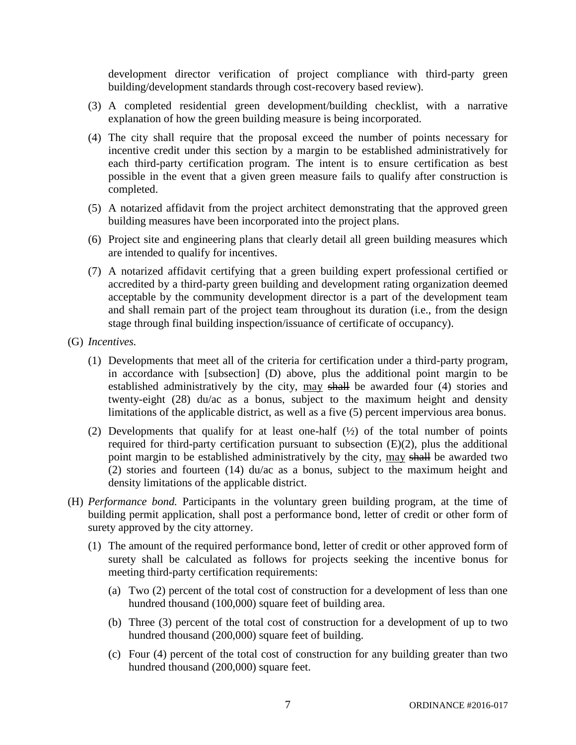development director verification of project compliance with third-party green building/development standards through cost-recovery based review).

- (3) A completed residential green development/building checklist, with a narrative explanation of how the green building measure is being incorporated.
- (4) The city shall require that the proposal exceed the number of points necessary for incentive credit under this section by a margin to be established administratively for each third-party certification program. The intent is to ensure certification as best possible in the event that a given green measure fails to qualify after construction is completed.
- (5) A notarized affidavit from the project architect demonstrating that the approved green building measures have been incorporated into the project plans.
- (6) Project site and engineering plans that clearly detail all green building measures which are intended to qualify for incentives.
- (7) A notarized affidavit certifying that a green building expert professional certified or accredited by a third-party green building and development rating organization deemed acceptable by the community development director is a part of the development team and shall remain part of the project team throughout its duration (i.e., from the design stage through final building inspection/issuance of certificate of occupancy).
- (G) *Incentives.*
	- (1) Developments that meet all of the criteria for certification under a third-party program, in accordance with [subsection] (D) above, plus the additional point margin to be established administratively by the city, may shall be awarded four (4) stories and twenty-eight (28) du/ac as a bonus, subject to the maximum height and density limitations of the applicable district, as well as a five (5) percent impervious area bonus.
	- (2) Developments that qualify for at least one-half  $(\frac{1}{2})$  of the total number of points required for third-party certification pursuant to subsection  $(E)(2)$ , plus the additional point margin to be established administratively by the city, may shall be awarded two (2) stories and fourteen (14) du/ac as a bonus, subject to the maximum height and density limitations of the applicable district.
- (H) *Performance bond.* Participants in the voluntary green building program, at the time of building permit application, shall post a performance bond, letter of credit or other form of surety approved by the city attorney.
	- (1) The amount of the required performance bond, letter of credit or other approved form of surety shall be calculated as follows for projects seeking the incentive bonus for meeting third-party certification requirements:
		- (a) Two (2) percent of the total cost of construction for a development of less than one hundred thousand (100,000) square feet of building area.
		- (b) Three (3) percent of the total cost of construction for a development of up to two hundred thousand (200,000) square feet of building.
		- (c) Four (4) percent of the total cost of construction for any building greater than two hundred thousand (200,000) square feet.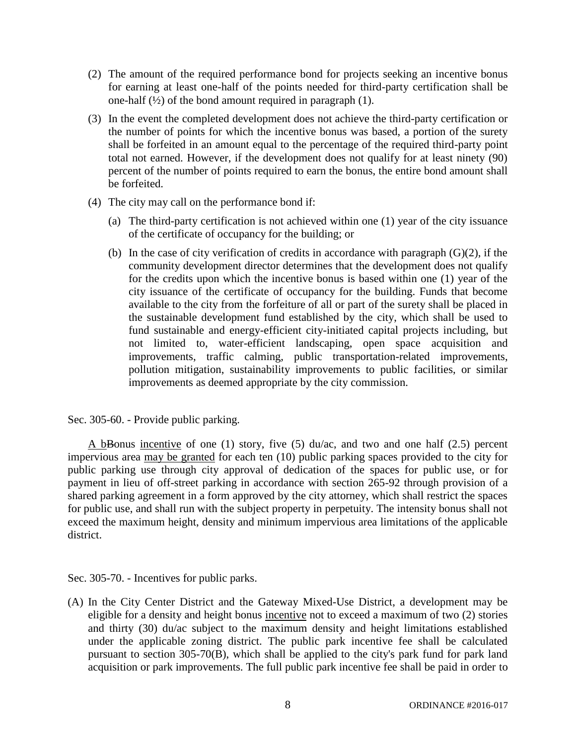- (2) The amount of the required performance bond for projects seeking an incentive bonus for earning at least one-half of the points needed for third-party certification shall be one-half  $(\frac{1}{2})$  of the bond amount required in paragraph (1).
- (3) In the event the completed development does not achieve the third-party certification or the number of points for which the incentive bonus was based, a portion of the surety shall be forfeited in an amount equal to the percentage of the required third-party point total not earned. However, if the development does not qualify for at least ninety (90) percent of the number of points required to earn the bonus, the entire bond amount shall be forfeited.
- (4) The city may call on the performance bond if:
	- (a) The third-party certification is not achieved within one (1) year of the city issuance of the certificate of occupancy for the building; or
	- (b) In the case of city verification of credits in accordance with paragraph (G)(2), if the community development director determines that the development does not qualify for the credits upon which the incentive bonus is based within one (1) year of the city issuance of the certificate of occupancy for the building. Funds that become available to the city from the forfeiture of all or part of the surety shall be placed in the sustainable development fund established by the city, which shall be used to fund sustainable and energy-efficient city-initiated capital projects including, but not limited to, water-efficient landscaping, open space acquisition and improvements, traffic calming, public transportation-related improvements, pollution mitigation, sustainability improvements to public facilities, or similar improvements as deemed appropriate by the city commission.

Sec. 305-60. - Provide public parking.

A bBonus incentive of one (1) story, five (5) du/ac, and two and one half (2.5) percent impervious area may be granted for each ten (10) public parking spaces provided to the city for public parking use through city approval of dedication of the spaces for public use, or for payment in lieu of off-street parking in accordance with section 265-92 through provision of a shared parking agreement in a form approved by the city attorney, which shall restrict the spaces for public use, and shall run with the subject property in perpetuity. The intensity bonus shall not exceed the maximum height, density and minimum impervious area limitations of the applicable district.

Sec. 305-70. - Incentives for public parks.

(A) In the City Center District and the Gateway Mixed-Use District, a development may be eligible for a density and height bonus incentive not to exceed a maximum of two (2) stories and thirty (30) du/ac subject to the maximum density and height limitations established under the applicable zoning district. The public park incentive fee shall be calculated pursuant to section 305-70(B), which shall be applied to the city's park fund for park land acquisition or park improvements. The full public park incentive fee shall be paid in order to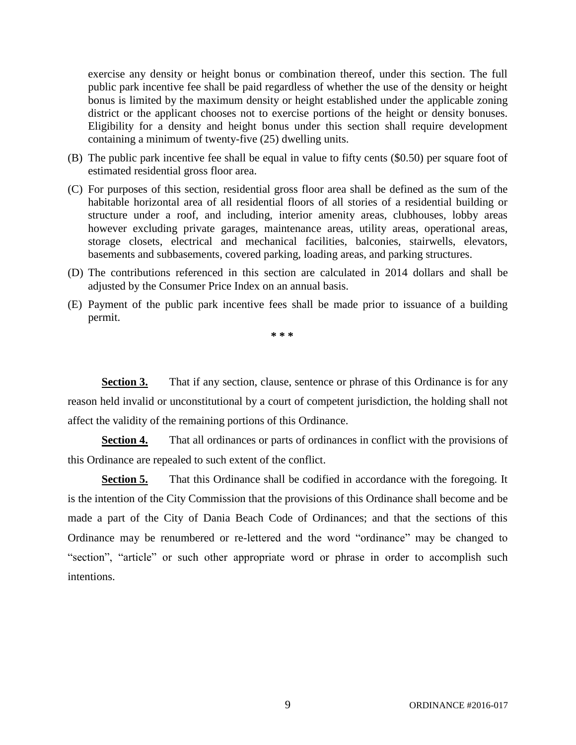exercise any density or height bonus or combination thereof, under this section. The full public park incentive fee shall be paid regardless of whether the use of the density or height bonus is limited by the maximum density or height established under the applicable zoning district or the applicant chooses not to exercise portions of the height or density bonuses. Eligibility for a density and height bonus under this section shall require development containing a minimum of twenty-five (25) dwelling units.

- (B) The public park incentive fee shall be equal in value to fifty cents (\$0.50) per square foot of estimated residential gross floor area.
- (C) For purposes of this section, residential gross floor area shall be defined as the sum of the habitable horizontal area of all residential floors of all stories of a residential building or structure under a roof, and including, interior amenity areas, clubhouses, lobby areas however excluding private garages, maintenance areas, utility areas, operational areas, storage closets, electrical and mechanical facilities, balconies, stairwells, elevators, basements and subbasements, covered parking, loading areas, and parking structures.
- (D) The contributions referenced in this section are calculated in 2014 dollars and shall be adjusted by the Consumer Price Index on an annual basis.
- (E) Payment of the public park incentive fees shall be made prior to issuance of a building permit.

**\* \* \***

**Section 3.** That if any section, clause, sentence or phrase of this Ordinance is for any reason held invalid or unconstitutional by a court of competent jurisdiction, the holding shall not affect the validity of the remaining portions of this Ordinance.

**Section 4.** That all ordinances or parts of ordinances in conflict with the provisions of this Ordinance are repealed to such extent of the conflict.

**Section 5.** That this Ordinance shall be codified in accordance with the foregoing. It is the intention of the City Commission that the provisions of this Ordinance shall become and be made a part of the City of Dania Beach Code of Ordinances; and that the sections of this Ordinance may be renumbered or re-lettered and the word "ordinance" may be changed to "section", "article" or such other appropriate word or phrase in order to accomplish such intentions.